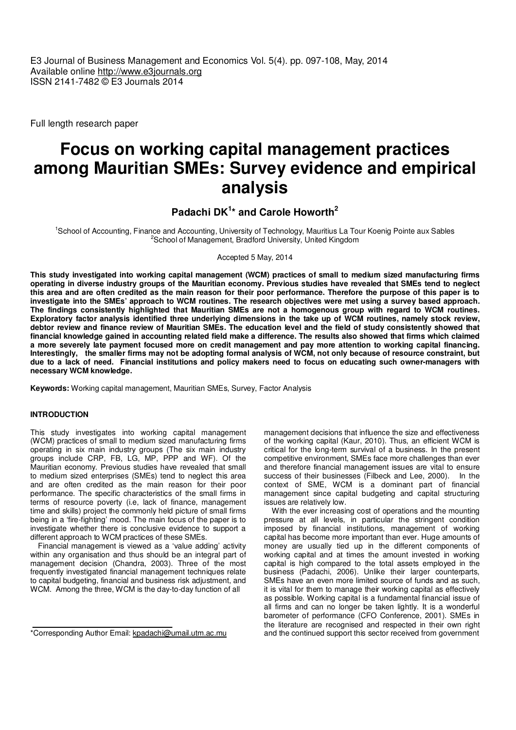E3 Journal of Business Management and Economics Vol. 5(4). pp. 097-108, May, 2014 Available online http://www.e3journals.org ISSN 2141-7482 © E3 Journals 2014

Full length research paper

# **Focus on working capital management practices among Mauritian SMEs: Survey evidence and empirical analysis**

**Padachi DK<sup>1</sup> \* and Carole Howorth<sup>2</sup>**

<sup>1</sup>School of Accounting, Finance and Accounting, University of Technology, Mauritius La Tour Koenig Pointe aux Sables <sup>2</sup>School of Management, Bradford University, United Kingdom

Accepted 5 May, 2014

**This study investigated into working capital management (WCM) practices of small to medium sized manufacturing firms operating in diverse industry groups of the Mauritian economy. Previous studies have revealed that SMEs tend to neglect this area and are often credited as the main reason for their poor performance. Therefore the purpose of this paper is to investigate into the SMEs' approach to WCM routines. The research objectives were met using a survey based approach. The findings consistently highlighted that Mauritian SMEs are not a homogenous group with regard to WCM routines. Exploratory factor analysis identified three underlying dimensions in the take up of WCM routines, namely stock review, debtor review and finance review of Mauritian SMEs. The education level and the field of study consistently showed that financial knowledge gained in accounting related field make a difference. The results also showed that firms which claimed a more severely late payment focused more on credit management and pay more attention to working capital financing. Interestingly, the smaller firms may not be adopting formal analysis of WCM, not only because of resource constraint, but due to a lack of need. Financial institutions and policy makers need to focus on educating such owner-managers with necessary WCM knowledge.** 

**Keywords:** Working capital management, Mauritian SMEs, Survey, Factor Analysis

# **INTRODUCTION**

This study investigates into working capital management (WCM) practices of small to medium sized manufacturing firms operating in six main industry groups (The six main industry groups include CRP, FB, LG, MP, PPP and WF). Of the Mauritian economy. Previous studies have revealed that small to medium sized enterprises (SMEs) tend to neglect this area and are often credited as the main reason for their poor performance. The specific characteristics of the small firms in terms of resource poverty (i.e, lack of finance, management time and skills) project the commonly held picture of small firms being in a 'fire-fighting' mood. The main focus of the paper is to investigate whether there is conclusive evidence to support a different approach to WCM practices of these SMEs.

Financial management is viewed as a 'value adding' activity within any organisation and thus should be an integral part of management decision (Chandra, 2003). Three of the most frequently investigated financial management techniques relate to capital budgeting, financial and business risk adjustment, and WCM. Among the three, WCM is the day-to-day function of all

management decisions that influence the size and effectiveness of the working capital (Kaur, 2010). Thus, an efficient WCM is critical for the long-term survival of a business. In the present competitive environment, SMEs face more challenges than ever and therefore financial management issues are vital to ensure success of their businesses (Filbeck and Lee, 2000). In the context of SME, WCM is a dominant part of financial management since capital budgeting and capital structuring issues are relatively low.

With the ever increasing cost of operations and the mounting pressure at all levels, in particular the stringent condition imposed by financial institutions, management of working capital has become more important than ever. Huge amounts of money are usually tied up in the different components of working capital and at times the amount invested in working capital is high compared to the total assets employed in the business (Padachi, 2006). Unlike their larger counterparts, SMEs have an even more limited source of funds and as such, it is vital for them to manage their working capital as effectively as possible. Working capital is a fundamental financial issue of all firms and can no longer be taken lightly. It is a wonderful barometer of performance (CFO Conference, 2001). SMEs in the literature are recognised and respected in their own right and the continued support this sector received from government

<sup>\*</sup>Corresponding Author Email: kpadachi@umail.utm.ac.mu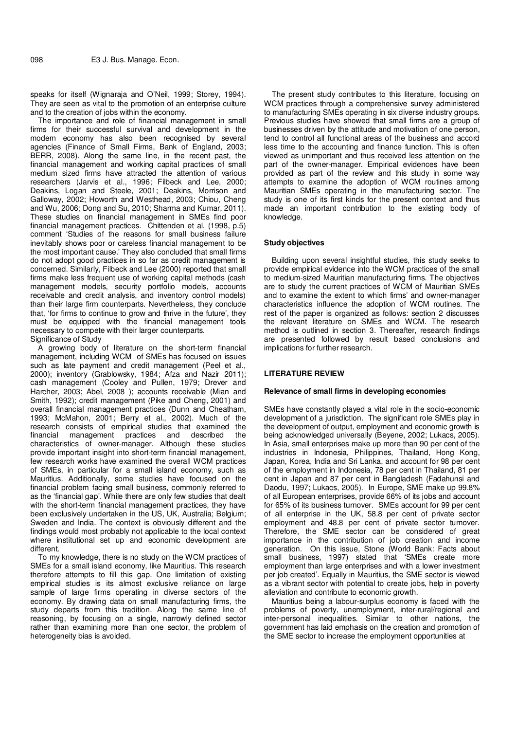speaks for itself (Wignaraja and O'Neil, 1999; Storey, 1994). They are seen as vital to the promotion of an enterprise culture and to the creation of jobs within the economy.

The importance and role of financial management in small firms for their successful survival and development in the modern economy has also been recognised by several agencies (Finance of Small Firms, Bank of England, 2003; BERR, 2008). Along the same line, in the recent past, the financial management and working capital practices of small medium sized firms have attracted the attention of various researchers (Jarvis et al., 1996; Filbeck and Lee, 2000; Deakins, Logan and Steele, 2001; Deakins, Morrison and Galloway, 2002; Howorth and Westhead, 2003; Chiou, Cheng and Wu, 2006; Dong and Su, 2010; Sharma and Kumar, 2011). These studies on financial management in SMEs find poor financial management practices. Chittenden et al. (1998, p.5) comment 'Studies of the reasons for small business failure inevitably shows poor or careless financial management to be the most important cause.' They also concluded that small firms do not adopt good practices in so far as credit management is concerned. Similarly, Filbeck and Lee (2000) reported that small firms make less frequent use of working capital methods (cash management models, security portfolio models, accounts receivable and credit analysis, and inventory control models) than their large firm counterparts. Nevertheless, they conclude that, 'for firms to continue to grow and thrive in the future', they must be equipped with the financial management tools necessary to compete with their larger counterparts. Significance of Study

A growing body of literature on the short-term financial management, including WCM of SMEs has focused on issues such as late payment and credit management (Peel et al., 2000); inventory (Grablowsky, 1984; Afza and Nazir 2011); cash management (Cooley and Pullen, 1979; Drever and Harcher, 2003; Abel, 2008 ); accounts receivable (Mian and Smith, 1992); credit management (Pike and Cheng, 2001) and overall financial management practices (Dunn and Cheatham, 1993; McMahon, 2001; Berry et al., 2002). Much of the research consists of empirical studies that examined the financial management practices and described the management practices and characteristics of owner-manager. Although these studies provide important insight into short-term financial management, few research works have examined the overall WCM practices of SMEs, in particular for a small island economy, such as Mauritius. Additionally, some studies have focused on the financial problem facing small business, commonly referred to as the 'financial gap'. While there are only few studies that dealt with the short-term financial management practices, they have been exclusively undertaken in the US, UK, Australia; Belgium; Sweden and India. The context is obviously different and the findings would most probably not applicable to the local context where institutional set up and economic development are different.

To my knowledge, there is no study on the WCM practices of SMEs for a small island economy, like Mauritius. This research therefore attempts to fill this gap. One limitation of existing empirical studies is its almost exclusive reliance on large sample of large firms operating in diverse sectors of the economy. By drawing data on small manufacturing firms, the study departs from this tradition. Along the same line of reasoning, by focusing on a single, narrowly defined sector rather than examining more than one sector, the problem of heterogeneity bias is avoided.

The present study contributes to this literature, focusing on WCM practices through a comprehensive survey administered to manufacturing SMEs operating in six diverse industry groups. Previous studies have showed that small firms are a group of businesses driven by the attitude and motivation of one person. tend to control all functional areas of the business and accord less time to the accounting and finance function. This is often viewed as unimportant and thus received less attention on the part of the owner-manager. Empirical evidences have been provided as part of the review and this study in some way attempts to examine the adoption of WCM routines among Mauritian SMEs operating in the manufacturing sector. The study is one of its first kinds for the present context and thus made an important contribution to the existing body of knowledge.

## **Study objectives**

Building upon several insightful studies, this study seeks to provide empirical evidence into the WCM practices of the small to medium-sized Mauritian manufacturing firms. The objectives are to study the current practices of WCM of Mauritian SMEs and to examine the extent to which firms' and owner-manager characteristics influence the adoption of WCM routines. The rest of the paper is organized as follows: section 2 discusses the relevant literature on SMEs and WCM. The research method is outlined in section 3. Thereafter, research findings are presented followed by result based conclusions and implications for further research.

#### **LITERATURE REVIEW**

#### **Relevance of small firms in developing economies**

SMEs have constantly played a vital role in the socio-economic development of a jurisdiction. The significant role SMEs play in the development of output, employment and economic growth is being acknowledged universally (Beyene, 2002; Lukacs, 2005). In Asia, small enterprises make up more than 90 per cent of the industries in Indonesia, Philippines, Thailand, Hong Kong, Japan, Korea, India and Sri Lanka, and account for 98 per cent of the employment in Indonesia, 78 per cent in Thailand, 81 per cent in Japan and 87 per cent in Bangladesh (Fadahunsi and Daodu, 1997; Lukacs, 2005). In Europe, SME make up 99.8% of all European enterprises, provide 66% of its jobs and account for 65% of its business turnover. SMEs account for 99 per cent of all enterprise in the UK, 58.8 per cent of private sector employment and 48.8 per cent of private sector turnover. Therefore, the SME sector can be considered of great importance in the contribution of job creation and income generation. On this issue, Stone (World Bank: Facts about small business, 1997) stated that 'SMEs create more employment than large enterprises and with a lower investment per job created'. Equally in Mauritius, the SME sector is viewed as a vibrant sector with potential to create jobs, help in poverty alleviation and contribute to economic growth.

Mauritius being a labour-surplus economy is faced with the problems of poverty, unemployment, inter-rural/regional and inter-personal inequalities. Similar to other nations, the government has laid emphasis on the creation and promotion of the SME sector to increase the employment opportunities at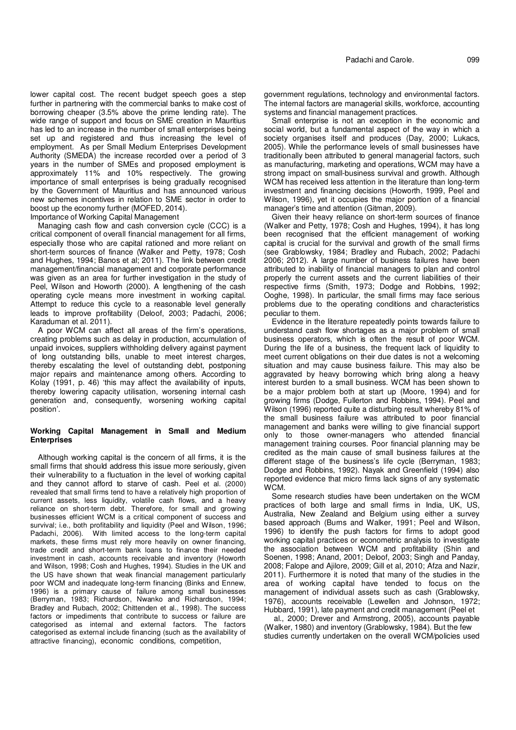lower capital cost. The recent budget speech goes a step further in partnering with the commercial banks to make cost of borrowing cheaper (3.5% above the prime lending rate). The wide range of support and focus on SME creation in Mauritius has led to an increase in the number of small enterprises being set up and registered and thus increasing the level of employment. As per Small Medium Enterprises Development Authority (SMEDA) the increase recorded over a period of 3 years in the number of SMEs and proposed employment is approximately 11% and 10% respectively. The growing importance of small enterprises is being gradually recognised by the Government of Mauritius and has announced various new schemes incentives in relation to SME sector in order to boost up the economy further (MOFED, 2014).

Importance of Working Capital Management

Managing cash flow and cash conversion cycle (CCC) is a critical component of overall financial management for all firms, especially those who are capital rationed and more reliant on short-term sources of finance (Walker and Petty, 1978; Cosh and Hughes, 1994; Banos et al; 2011). The link between credit management/financial management and corporate performance was given as an area for further investigation in the study of Peel, Wilson and Howorth (2000). A lengthening of the cash operating cycle means more investment in working capital. Attempt to reduce this cycle to a reasonable level generally leads to improve profitability (Deloof, 2003; Padachi, 2006; Karaduman et al. 2011).

A poor WCM can affect all areas of the firm's operations, creating problems such as delay in production, accumulation of unpaid invoices, suppliers withholding delivery against payment of long outstanding bills, unable to meet interest charges, thereby escalating the level of outstanding debt, postponing major repairs and maintenance among others. According to Kolay (1991, p. 46) 'this may affect the availability of inputs, thereby lowering capacity utilisation, worsening internal cash generation and, consequently, worsening working capital position'.

# **Working Capital Management in Small and Medium Enterprises**

Although working capital is the concern of all firms, it is the small firms that should address this issue more seriously, given their vulnerability to a fluctuation in the level of working capital and they cannot afford to starve of cash. Peel et al. (2000) revealed that small firms tend to have a relatively high proportion of current assets, less liquidity, volatile cash flows, and a heavy reliance on short-term debt. Therefore, for small and growing businesses efficient WCM is a critical component of success and survival; i.e., both profitability and liquidity (Peel and Wilson, 1996; Padachi, 2006). With limited access to the long-term capital markets, these firms must rely more heavily on owner financing, trade credit and short-term bank loans to finance their needed investment in cash, accounts receivable and inventory (Howorth and Wilson, 1998; Cosh and Hughes, 1994). Studies in the UK and the US have shown that weak financial management particularly poor WCM and inadequate long-term financing (Binks and Ennew, 1996) is a primary cause of failure among small businesses (Berryman, 1983; Richardson, Nwanko and Richardson, 1994; Bradley and Rubach, 2002; Chittenden et al., 1998). The success factors or impediments that contribute to success or failure are categorised as internal and external factors. The factors categorised as external include financing (such as the availability of attractive financing), economic conditions, competition,

government regulations, technology and environmental factors. The internal factors are managerial skills, workforce, accounting systems and financial management practices.

Small enterprise is not an exception in the economic and social world, but a fundamental aspect of the way in which a society organises itself and produces (Day, 2000; Lukacs, 2005). While the performance levels of small businesses have traditionally been attributed to general managerial factors, such as manufacturing, marketing and operations, WCM may have a strong impact on small-business survival and growth. Although WCM has received less attention in the literature than long-term investment and financing decisions (Howorth, 1999, Peel and Wilson, 1996), yet it occupies the major portion of a financial manager's time and attention (Gitman, 2009).

Given their heavy reliance on short-term sources of finance (Walker and Petty, 1978; Cosh and Hughes, 1994), it has long been recognised that the efficient management of working capital is crucial for the survival and growth of the small firms (see Grablowsky, 1984; Bradley and Rubach, 2002; Padachi 2006; 2012). A large number of business failures have been attributed to inability of financial managers to plan and control properly the current assets and the current liabilities of their respective firms (Smith, 1973; Dodge and Robbins, 1992; Ooghe, 1998). In particular, the small firms may face serious problems due to the operating conditions and characteristics peculiar to them.

Evidence in the literature repeatedly points towards failure to understand cash flow shortages as a major problem of small business operators, which is often the result of poor WCM. During the life of a business, the frequent lack of liquidity to meet current obligations on their due dates is not a welcoming situation and may cause business failure. This may also be aggravated by heavy borrowing which bring along a heavy interest burden to a small business. WCM has been shown to be a major problem both at start up (Moore, 1994) and for growing firms (Dodge, Fullerton and Robbins, 1994). Peel and Wilson (1996) reported quite a disturbing result whereby 81% of the small business failure was attributed to poor financial management and banks were willing to give financial support only to those owner-managers who attended financial management training courses. Poor financial planning may be credited as the main cause of small business failures at the different stage of the business's life cycle (Berryman, 1983; Dodge and Robbins, 1992). Nayak and Greenfield (1994) also reported evidence that micro firms lack signs of any systematic WC<sub>M</sub>

Some research studies have been undertaken on the WCM practices of both large and small firms in India, UK, US, Australia, New Zealand and Belgium using either a survey based approach (Burns and Walker, 1991; Peel and Wilson, 1996) to identify the push factors for firms to adopt good working capital practices or econometric analysis to investigate the association between WCM and profitability (Shin and Soenen, 1998; Anand, 2001; Deloof, 2003; Singh and Panday, 2008; Falope and Ajilore, 2009; Gill et al, 2010; Afza and Nazir, 2011). Furthermore it is noted that many of the studies in the area of working capital have tended to focus on the management of individual assets such as cash (Grablowsky, 1976), accounts receivable (Lewellen and Johnson, 1972; Hubbard, 1991), late payment and credit management (Peel et

 al., 2000; Drever and Armstrong, 2005), accounts payable (Walker, 1980) and inventory (Grablowsky, 1984). But the few studies currently undertaken on the overall WCM/policies used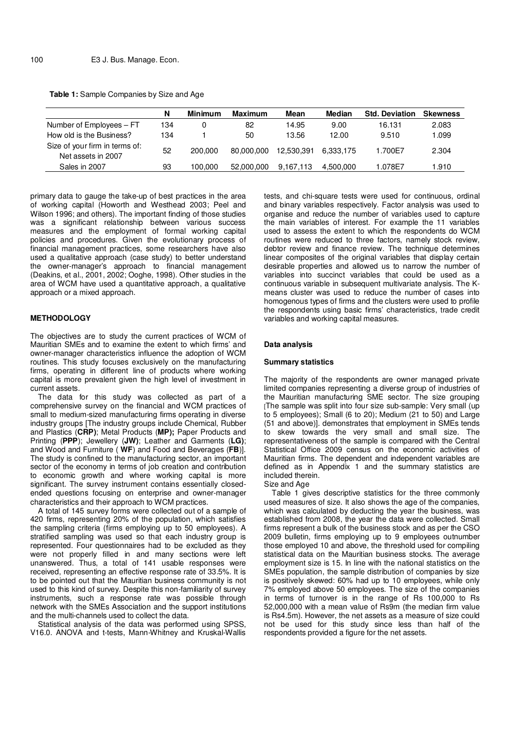|  | Table 1: Sample Companies by Size and Age |  |
|--|-------------------------------------------|--|
|  |                                           |  |

|                                                      | N   | <b>Minimum</b> | <b>Maximum</b> | Mean       | <b>Median</b> | <b>Std. Deviation</b> | <b>Skewness</b> |
|------------------------------------------------------|-----|----------------|----------------|------------|---------------|-----------------------|-----------------|
| Number of Employees - FT                             | 134 | 0              | 82             | 14.95      | 9.00          | 16.131                | 2.083           |
| How old is the Business?                             | 134 |                | 50             | 13.56      | 12.00         | 9.510                 | 1.099           |
| Size of your firm in terms of:<br>Net assets in 2007 | 52  | 200.000        | 80,000,000     | 12.530.391 | 6.333.175     | 1.700E7               | 2.304           |
| Sales in 2007                                        | 93  | 100.000        | 52,000,000     | 9.167.113  | 4.500.000     | 1.078E7               | 1.910           |

primary data to gauge the take-up of best practices in the area of working capital (Howorth and Westhead 2003; Peel and Wilson 1996; and others). The important finding of those studies was a significant relationship between various success measures and the employment of formal working capital policies and procedures. Given the evolutionary process of financial management practices, some researchers have also used a qualitative approach (case study) to better understand the owner-manager's approach to financial management (Deakins, et al., 2001, 2002; Ooghe, 1998). Other studies in the area of WCM have used a quantitative approach, a qualitative approach or a mixed approach.

## **METHODOLOGY**

The objectives are to study the current practices of WCM of Mauritian SMEs and to examine the extent to which firms' and owner-manager characteristics influence the adoption of WCM routines. This study focuses exclusively on the manufacturing firms, operating in different line of products where working capital is more prevalent given the high level of investment in current assets.

The data for this study was collected as part of a comprehensive survey on the financial and WCM practices of small to medium-sized manufacturing firms operating in diverse industry groups [The industry groups include Chemical, Rubber and Plastics (**CRP)**; Metal Products (**MP);** Paper Products and Printing (**PPP**); Jewellery (**JW)**; Leather and Garments (**LG)**; and Wood and Furniture ( **WF**) and Food and Beverages (**FB**)]. The study is confined to the manufacturing sector, an important sector of the economy in terms of job creation and contribution to economic growth and where working capital is more significant. The survey instrument contains essentially closedended questions focusing on enterprise and owner-manager characteristics and their approach to WCM practices.

A total of 145 survey forms were collected out of a sample of 420 firms, representing 20% of the population, which satisfies the sampling criteria (firms employing up to 50 employees). A stratified sampling was used so that each industry group is represented. Four questionnaires had to be excluded as they were not properly filled in and many sections were left unanswered. Thus, a total of 141 usable responses were received, representing an effective response rate of 33.5%. It is to be pointed out that the Mauritian business community is not used to this kind of survey. Despite this non-familiarity of survey instruments, such a response rate was possible through network with the SMEs Association and the support institutions and the multi-channels used to collect the data.

Statistical analysis of the data was performed using SPSS, V16.0. ANOVA and t-tests, Mann-Whitney and Kruskal-Wallis tests, and chi-square tests were used for continuous, ordinal and binary variables respectively. Factor analysis was used to organise and reduce the number of variables used to capture the main variables of interest. For example the 11 variables used to assess the extent to which the respondents do WCM routines were reduced to three factors, namely stock review, debtor review and finance review. The technique determines linear composites of the original variables that display certain desirable properties and allowed us to narrow the number of variables into succinct variables that could be used as a continuous variable in subsequent multivariate analysis. The Kmeans cluster was used to reduce the number of cases into homogenous types of firms and the clusters were used to profile the respondents using basic firms' characteristics, trade credit variables and working capital measures.

#### **Data analysis**

#### **Summary statistics**

The majority of the respondents are owner managed private limited companies representing a diverse group of industries of the Mauritian manufacturing SME sector. The size grouping [The sample was split into four size sub-sample: Very small (up to 5 employees); Small (6 to 20); Medium (21 to 50) and Large (51 and above)]. demonstrates that employment in SMEs tends to skew towards the very small and small size. The representativeness of the sample is compared with the Central Statistical Office 2009 census on the economic activities of Mauritian firms. The dependent and independent variables are defined as in Appendix 1 and the summary statistics are included therein. Size and Age

Table 1 gives descriptive statistics for the three commonly used measures of size. It also shows the age of the companies, which was calculated by deducting the year the business, was established from 2008, the year the data were collected. Small firms represent a bulk of the business stock and as per the CSO 2009 bulletin, firms employing up to 9 employees outnumber those employed 10 and above, the threshold used for compiling statistical data on the Mauritian business stocks. The average employment size is 15. In line with the national statistics on the SMEs population, the sample distribution of companies by size is positively skewed: 60% had up to 10 employees, while only 7% employed above 50 employees. The size of the companies in terms of turnover is in the range of Rs 100,000 to Rs 52,000,000 with a mean value of Rs9m (the median firm value is Rs4.5m). However, the net assets as a measure of size could not be used for this study since less than half of the respondents provided a figure for the net assets.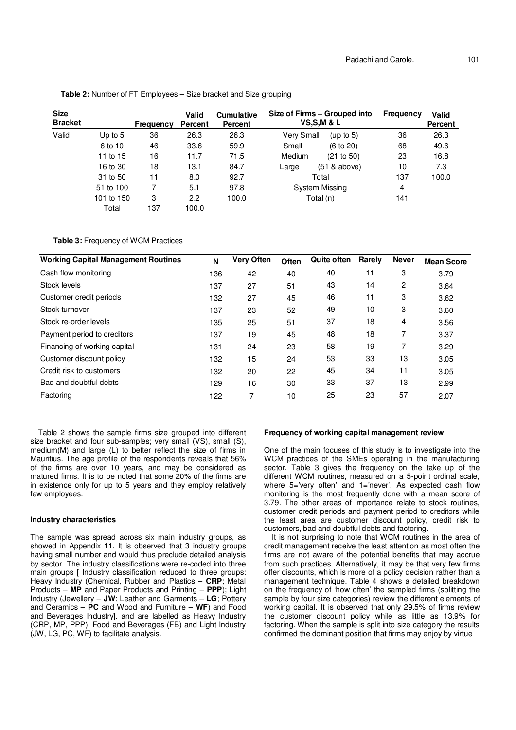| <b>Size</b><br><b>Bracket</b> |            | Frequency | <b>Valid</b><br>Percent | <b>Cumulative</b><br><b>Percent</b> |            | Size of Firms – Grouped into<br><b>VS,S,M &amp; L</b> | Frequency | Valid<br><b>Percent</b> |
|-------------------------------|------------|-----------|-------------------------|-------------------------------------|------------|-------------------------------------------------------|-----------|-------------------------|
| Valid                         | Up to $5$  | 36        | 26.3                    | 26.3                                | Very Small | (up to $5$ )                                          | 36        | 26.3                    |
|                               | 6 to 10    | 46        | 33.6                    | 59.9                                | Small      | (6 to 20)                                             | 68        | 49.6                    |
|                               | 11 to 15   | 16        | 11.7                    | 71.5                                | Medium     | (21 to 50)                                            | 23        | 16.8                    |
|                               | 16 to 30   | 18        | 13.1                    | 84.7                                | Large      | (51 & above)                                          | 10        | 7.3                     |
|                               | 31 to 50   | 11        | 8.0                     | 92.7                                |            | Total                                                 | 137       | 100.0                   |
|                               | 51 to 100  |           | 5.1                     | 97.8                                |            | System Missing                                        | 4         |                         |
|                               | 101 to 150 | 3         | 2.2                     | 100.0                               |            | Total (n)                                             | 141       |                         |
|                               | Total      | 137       | 100.0                   |                                     |            |                                                       |           |                         |

**Table 2:** Number of FT Employees – Size bracket and Size grouping

**Table 3:** Frequency of WCM Practices

| <b>Working Capital Management Routines</b> | N   | <b>Very Often</b> | Often | <b>Quite often</b> | Rarely | <b>Never</b> | <b>Mean Score</b> |
|--------------------------------------------|-----|-------------------|-------|--------------------|--------|--------------|-------------------|
| Cash flow monitoring                       | 136 | 42                | 40    | 40                 | 11     | 3            | 3.79              |
| Stock levels                               | 137 | 27                | 51    | 43                 | 14     | 2            | 3.64              |
| Customer credit periods                    | 132 | 27                | 45    | 46                 | 11     | 3            | 3.62              |
| Stock turnover                             | 137 | 23                | 52    | 49                 | 10     | 3            | 3.60              |
| Stock re-order levels                      | 135 | 25                | 51    | 37                 | 18     | 4            | 3.56              |
| Payment period to creditors                | 137 | 19                | 45    | 48                 | 18     | 7            | 3.37              |
| Financing of working capital               | 131 | 24                | 23    | 58                 | 19     | 7            | 3.29              |
| Customer discount policy                   | 132 | 15                | 24    | 53                 | 33     | 13           | 3.05              |
| Credit risk to customers                   | 132 | 20                | 22    | 45                 | 34     | 11           | 3.05              |
| Bad and doubtful debts                     | 129 | 16                | 30    | 33                 | 37     | 13           | 2.99              |
| Factoring                                  | 122 |                   | 10    | 25                 | 23     | 57           | 2.07              |

Table 2 shows the sample firms size grouped into different size bracket and four sub-samples; very small (VS), small (S), medium(M) and large (L) to better reflect the size of firms in Mauritius. The age profile of the respondents reveals that 56% of the firms are over 10 years, and may be considered as matured firms. It is to be noted that some 20% of the firms are in existence only for up to 5 years and they employ relatively few employees.

## **Industry characteristics**

The sample was spread across six main industry groups, as showed in Appendix 11. It is observed that 3 industry groups having small number and would thus preclude detailed analysis by sector. The industry classifications were re-coded into three main groups [ Industry classification reduced to three groups: Heavy Industry (Chemical, Rubber and Plastics – **CRP**; Metal Products – **MP** and Paper Products and Printing – **PPP**); Light Industry (Jewellery – **JW**; Leather and Garments – **LG**; Pottery and Ceramics – **PC** and Wood and Furniture – **WF**) and Food and Beverages Industry]. and are labelled as Heavy Industry (CRP, MP, PPP); Food and Beverages (FB) and Light Industry (JW, LG, PC, WF) to facilitate analysis.

#### **Frequency of working capital management review**

One of the main focuses of this study is to investigate into the WCM practices of the SMEs operating in the manufacturing sector. Table 3 gives the frequency on the take up of the different WCM routines, measured on a 5-point ordinal scale, where 5='very often' and 1='never'. As expected cash flow monitoring is the most frequently done with a mean score of 3.79. The other areas of importance relate to stock routines, customer credit periods and payment period to creditors while the least area are customer discount policy, credit risk to customers, bad and doubtful debts and factoring.

It is not surprising to note that WCM routines in the area of credit management receive the least attention as most often the firms are not aware of the potential benefits that may accrue from such practices. Alternatively, it may be that very few firms offer discounts, which is more of a policy decision rather than a management technique. Table 4 shows a detailed breakdown on the frequency of 'how often' the sampled firms (splitting the sample by four size categories) review the different elements of working capital. It is observed that only 29.5% of firms review the customer discount policy while as little as 13.9% for factoring. When the sample is split into size category the results confirmed the dominant position that firms may enjoy by virtue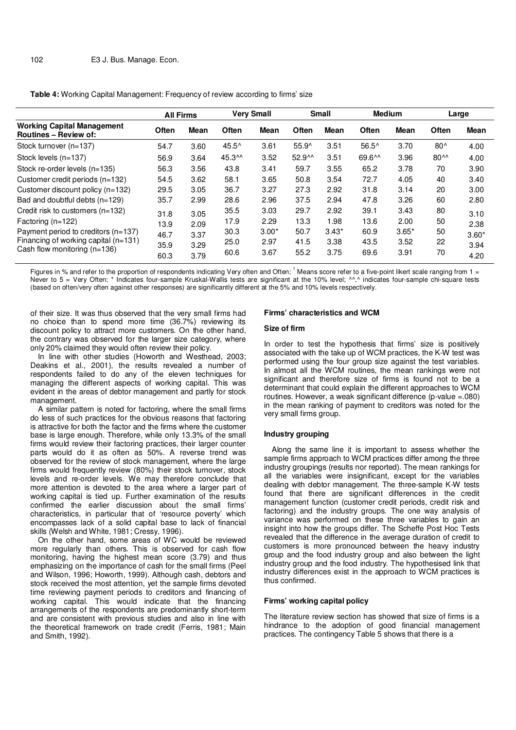#### **Table 4:** Working Capital Management: Frequency of review according to firms' size

|                                                                   | <b>All Firms</b> |             |        | <b>Very Small</b> |                    | <b>Small</b> | <b>Medium</b>  |             |          | Large   |
|-------------------------------------------------------------------|------------------|-------------|--------|-------------------|--------------------|--------------|----------------|-------------|----------|---------|
| <b>Working Capital Management</b><br><b>Routines – Review of:</b> | Often            | <b>Mean</b> | Often  | Mean              | Often              | Mean         | Often          | <b>Mean</b> | Often    | Mean    |
| Stock turnover (n=137)                                            | 54.7             | 3.60        | 45.5^  | 3.61              | 55.9^              | 3.51         | $56.5^{\circ}$ | 3.70        | $80^$    | 4.00    |
| Stock levels $(n=137)$                                            | 56.9             | 3.64        | 45.3^^ | 3.52              | 52.9 <sup>AA</sup> | 3.51         | 69.6^^         | 3.96        | $80^{^}$ | 4.00    |
| Stock re-order levels (n=135)                                     | 56.3             | 3.56        | 43.8   | 3.41              | 59.7               | 3.55         | 65.2           | 3.78        | 70       | 3.90    |
| Customer credit periods (n=132)                                   | 54.5             | 3.62        | 58.1   | 3.65              | 50.8               | 3.54         | 72.7           | 4.05        | 40       | 3.40    |
| Customer discount policy $(n=132)$                                | 29.5             | 3.05        | 36.7   | 3.27              | 27.3               | 2.92         | 31.8           | 3.14        | 20       | 3.00    |
| Bad and doubtful debts (n=129)                                    | 35.7             | 2.99        | 28.6   | 2.96              | 37.5               | 2.94         | 47.8           | 3.26        | 60       | 2.80    |
| Credit risk to customers $(n=132)$                                | 31.8             | 3.05        | 35.5   | 3.03              | 29.7               | 2.92         | 39.1           | 3.43        | 80       | 3.10    |
| Factoring $(n=122)$                                               | 13.9             | 2.09        | 17.9   | 2.29              | 13.3               | 1.98         | 13.6           | 2.00        | 50       | 2.38    |
| Payment period to creditors $(n=137)$                             | 46.7             | 3.37        | 30.3   | $3.00*$           | 50.7               | $3.43*$      | 60.9           | $3.65*$     | 50       | $3.60*$ |
| Financing of working capital (n=131)                              | 35.9             | 3.29        | 25.0   | 2.97              | 41.5               | 3.38         | 43.5           | 3.52        | 22       | 3.94    |
| Cash flow monitoring $(n=136)$                                    | 60.3             | 3.79        | 60.6   | 3.67              | 55.2               | 3.75         | 69.6           | 3.91        | 70       | 4.20    |

Figures in % and refer to the proportion of respondents indicating Very often and Often; 1 Means score refer to a five-point likert scale ranging from 1 = Never to 5 = Very Often; \* Indicates four-sample Kruskal-Wallis tests are significant at the 10% level; ^^,^ indicates four-sample chi-square tests (based on often/very often against other responses) are significantly different at the 5% and 10% levels respectively.

of their size. It was thus observed that the very small firms had no choice than to spend more time (36.7%) reviewing its discount policy to attract more customers. On the other hand, the contrary was observed for the larger size category, where only 20% claimed they would often review their policy.

In line with other studies (Howorth and Westhead, 2003; Deakins et al., 2001), the results revealed a number of respondents failed to do any of the eleven techniques for managing the different aspects of working capital. This was evident in the areas of debtor management and partly for stock management.

A similar pattern is noted for factoring, where the small firms do less of such practices for the obvious reasons that factoring is attractive for both the factor and the firms where the customer base is large enough. Therefore, while only 13.3% of the small firms would review their factoring practices, their larger counter parts would do it as often as 50%. A reverse trend was observed for the review of stock management, where the large firms would frequently review (80%) their stock turnover, stock levels and re-order levels. We may therefore conclude that more attention is devoted to the area where a larger part of working capital is tied up. Further examination of the results confirmed the earlier discussion about the small firms' characteristics, in particular that of 'resource poverty' which encompasses lack of a solid capital base to lack of financial skills (Welsh and White, 1981; Cressy, 1996).

On the other hand, some areas of WC would be reviewed more regularly than others. This is observed for cash flow monitoring, having the highest mean score (3.79) and thus emphasizing on the importance of cash for the small firms (Peel and Wilson, 1996; Howorth, 1999). Although cash, debtors and stock received the most attention, yet the sample firms devoted time reviewing payment periods to creditors and financing of working capital. This would indicate that the financing arrangements of the respondents are predominantly short-term and are consistent with previous studies and also in line with the theoretical framework on trade credit (Ferris, 1981; Main and Smith, 1992).

#### **Firms' characteristics and WCM**

### **Size of firm**

In order to test the hypothesis that firms' size is positively associated with the take up of WCM practices, the K-W test was performed using the four group size against the test variables. In almost all the WCM routines, the mean rankings were not significant and therefore size of firms is found not to be a determinant that could explain the different approaches to WCM routines. However, a weak significant difference (p-value =.080) in the mean ranking of payment to creditors was noted for the very small firms group.

#### **Industry grouping**

Along the same line it is important to assess whether the sample firms approach to WCM practices differ among the three industry groupings (results nor reported). The mean rankings for all the variables were insignificant, except for the variables dealing with debtor management. The three-sample K-W tests found that there are significant differences in the credit management function (customer credit periods, credit risk and factoring) and the industry groups. The one way analysis of variance was performed on these three variables to gain an insight into how the groups differ. The Scheffe Post Hoc Tests revealed that the difference in the average duration of credit to customers is more pronounced between the heavy industry group and the food industry group and also between the light industry group and the food industry. The hypothesised link that industry differences exist in the approach to WCM practices is thus confirmed.

# **Firms' working capital policy**

The literature review section has showed that size of firms is a hindrance to the adoption of good financial management practices. The contingency Table 5 shows that there is a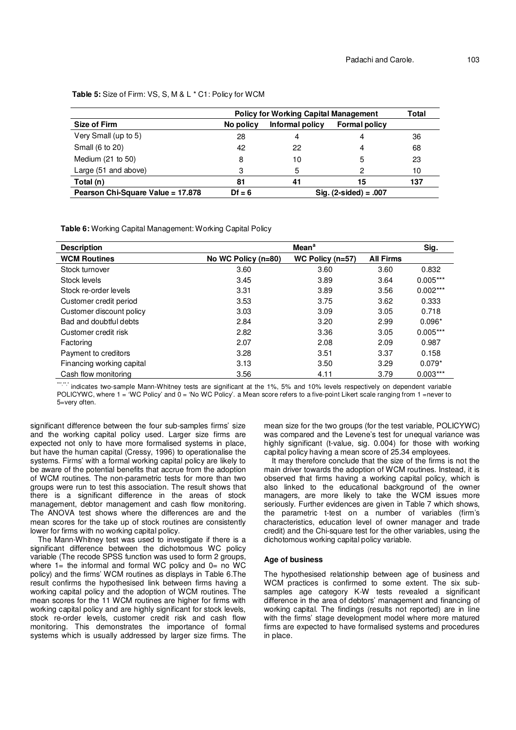**Table 5:** Size of Firm: VS, S, M & L \* C1: Policy for WCM

|                                   | <b>Policy for Working Capital Management</b> |                 |                         |     |  |
|-----------------------------------|----------------------------------------------|-----------------|-------------------------|-----|--|
| Size of Firm                      | No policy                                    | Informal policy | <b>Formal policy</b>    |     |  |
| Very Small (up to 5)              | 28                                           | 4               |                         | 36  |  |
| Small (6 to 20)                   | 42                                           | 22              | 4                       | 68  |  |
| Medium $(21$ to $50)$             | 8                                            | 10              | 5                       | 23  |  |
| Large (51 and above)              | 3                                            | 5               |                         | 10  |  |
| Total (n)                         | 81                                           | 41              | 15                      | 137 |  |
| Pearson Chi-Square Value = 17.878 | $Df = 6$                                     |                 | $Siq. (2-sided) = .007$ |     |  |

**Table 6:** Working Capital Management: Working Capital Policy

| <b>Description</b>        |                       | Sig.               |                  |            |
|---------------------------|-----------------------|--------------------|------------------|------------|
| <b>WCM Routines</b>       | No WC Policy $(n=80)$ | WC Policy $(n=57)$ | <b>All Firms</b> |            |
| Stock turnover            | 3.60                  | 3.60               | 3.60             | 0.832      |
| Stock levels              | 3.45                  | 3.89               | 3.64             | $0.005***$ |
| Stock re-order levels     | 3.31                  | 3.89               | 3.56             | $0.002***$ |
| Customer credit period    | 3.53                  | 3.75               | 3.62             | 0.333      |
| Customer discount policy  | 3.03                  | 3.09               | 3.05             | 0.718      |
| Bad and doubtful debts    | 2.84                  | 3.20               | 2.99             | $0.096*$   |
| Customer credit risk      | 2.82                  | 3.36               | 3.05             | $0.005***$ |
| Factoring                 | 2.07                  | 2.08               | 2.09             | 0.987      |
| Payment to creditors      | 3.28                  | 3.51               | 3.37             | 0.158      |
| Financing working capital | 3.13                  | 3.50               | 3.29             | $0.079*$   |
| Cash flow monitoring      | 3.56                  | 4.11               | 3.79             | $0.003***$ |

\*\*\*\*\*\*\* indicates two-sample Mann-Whitney tests are significant at the 1%, 5% and 10% levels respectively on dependent variable POLICYWC, where 1 = 'WC Policy' and 0 = 'No WC Policy'. a Mean score refers to a five-point Likert scale ranging from 1 =never to 5=very often.

significant difference between the four sub-samples firms' size and the working capital policy used. Larger size firms are expected not only to have more formalised systems in place, but have the human capital (Cressy, 1996) to operationalise the systems. Firms' with a formal working capital policy are likely to be aware of the potential benefits that accrue from the adoption of WCM routines. The non-parametric tests for more than two groups were run to test this association. The result shows that there is a significant difference in the areas of stock management, debtor management and cash flow monitoring. The ANOVA test shows where the differences are and the mean scores for the take up of stock routines are consistently lower for firms with no working capital policy.

The Mann-Whitney test was used to investigate if there is a significant difference between the dichotomous WC policy variable (The recode SPSS function was used to form 2 groups, where  $1=$  the informal and formal WC policy and  $0=$  no WC policy) and the firms' WCM routines as displays in Table 6.The result confirms the hypothesised link between firms having a working capital policy and the adoption of WCM routines. The mean scores for the 11 WCM routines are higher for firms with working capital policy and are highly significant for stock levels, stock re-order levels, customer credit risk and cash flow monitoring. This demonstrates the importance of formal systems which is usually addressed by larger size firms. The mean size for the two groups (for the test variable, POLICYWC) was compared and the Levene's test for unequal variance was highly significant (t-value, sig. 0.004) for those with working capital policy having a mean score of 25.34 employees.

It may therefore conclude that the size of the firms is not the main driver towards the adoption of WCM routines. Instead, it is observed that firms having a working capital policy, which is also linked to the educational background of the owner managers, are more likely to take the WCM issues more seriously. Further evidences are given in Table 7 which shows, the parametric t-test on a number of variables (firm's characteristics, education level of owner manager and trade credit) and the Chi-square test for the other variables, using the dichotomous working capital policy variable.

## **Age of business**

The hypothesised relationship between age of business and WCM practices is confirmed to some extent. The six subsamples age category K-W tests revealed a significant difference in the area of debtors' management and financing of working capital. The findings (results not reported) are in line with the firms' stage development model where more matured firms are expected to have formalised systems and procedures in place.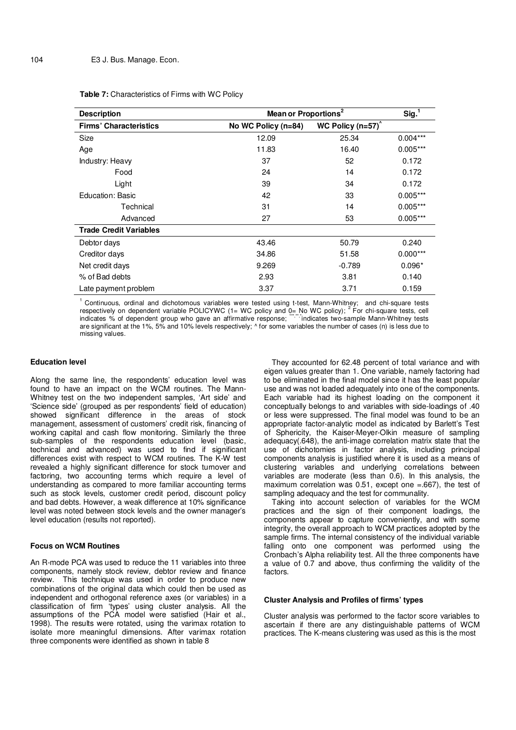| Table 7: Characteristics of Firms with WC Policy |  |  |
|--------------------------------------------------|--|--|
|--------------------------------------------------|--|--|

| <b>Description</b>            | Mean or Proportions <sup>2</sup> |                        | Sig. <sup>1</sup> |
|-------------------------------|----------------------------------|------------------------|-------------------|
| <b>Firms' Characteristics</b> | No WC Policy (n=84)              | WC Policy $(n=57)^{6}$ |                   |
| Size                          | 12.09                            | 25.34                  | $0.004***$        |
| Age                           | 11.83                            | 16.40                  | $0.005***$        |
| Industry: Heavy               | 37                               | 52                     | 0.172             |
| Food                          | 24                               | 14                     | 0.172             |
| Light                         | 39                               | 34                     | 0.172             |
| Education: Basic              | 42                               | 33                     | $0.005***$        |
| Technical                     | 31                               | 14                     | $0.005***$        |
| Advanced                      | 27                               | 53                     | $0.005***$        |
| <b>Trade Credit Variables</b> |                                  |                        |                   |
| Debtor days                   | 43.46                            | 50.79                  | 0.240             |
| Creditor days                 | 34.86                            | 51.58                  | $0.000***$        |
| Net credit days               | 9.269                            | $-0.789$               | $0.096*$          |
| % of Bad debts                | 2.93                             | 3.81                   | 0.140             |
| Late payment problem          | 3.37                             | 3.71                   | 0.159             |

 $1$  Continuous, ordinal and dichotomous variables were tested using t-test, Mann-Whitney; and chi-square tests respectively on dependent variable POLICYWC (1= WC policy and 0= No WC policy); <sup>2</sup> For chi-square tests, cell indicates % of dependent group who gave an affirmative response; \*\*\*\*\*\*indicates two-sample Mann-Whitney tests are significant at the 1%, 5% and 10% levels respectively; ^ for some variables the number of cases (n) is less due to missing values.

#### **Education level**

Along the same line, the respondents' education level was found to have an impact on the WCM routines. The Mann-Whitney test on the two independent samples, 'Art side' and 'Science side' (grouped as per respondents' field of education) showed significant difference in the areas of stock management, assessment of customers' credit risk, financing of working capital and cash flow monitoring. Similarly the three sub-samples of the respondents education level (basic, technical and advanced) was used to find if significant differences exist with respect to WCM routines. The K-W test revealed a highly significant difference for stock turnover and factoring, two accounting terms which require a level of understanding as compared to more familiar accounting terms such as stock levels, customer credit period, discount policy and bad debts. However, a weak difference at 10% significance level was noted between stock levels and the owner manager's level education (results not reported).

# **Focus on WCM Routines**

An R-mode PCA was used to reduce the 11 variables into three components, namely stock review, debtor review and finance review. This technique was used in order to produce new combinations of the original data which could then be used as independent and orthogonal reference axes (or variables) in a classification of firm 'types' using cluster analysis. All the assumptions of the PCA model were satisfied (Hair et al., 1998). The results were rotated, using the varimax rotation to isolate more meaningful dimensions. After varimax rotation three components were identified as shown in table 8

They accounted for 62.48 percent of total variance and with eigen values greater than 1. One variable, namely factoring had to be eliminated in the final model since it has the least popular use and was not loaded adequately into one of the components. Each variable had its highest loading on the component it conceptually belongs to and variables with side-loadings of .40 or less were suppressed. The final model was found to be an appropriate factor-analytic model as indicated by Barlett's Test of Sphericity, the Kaiser-Meyer-Olkin measure of sampling adequacy(.648), the anti-image correlation matrix state that the use of dichotomies in factor analysis, including principal components analysis is justified where it is used as a means of clustering variables and underlying correlations between variables are moderate (less than 0.6). In this analysis, the maximum correlation was  $0.51$ , except one =.667), the test of sampling adequacy and the test for communality.

Taking into account selection of variables for the WCM practices and the sign of their component loadings, the components appear to capture conveniently, and with some integrity, the overall approach to WCM practices adopted by the sample firms. The internal consistency of the individual variable falling onto one component was performed using the Cronbach's Alpha reliability test. All the three components have a value of 0.7 and above, thus confirming the validity of the factors.

## **Cluster Analysis and Profiles of firms' types**

Cluster analysis was performed to the factor score variables to ascertain if there are any distinguishable patterns of WCM practices. The K-means clustering was used as this is the most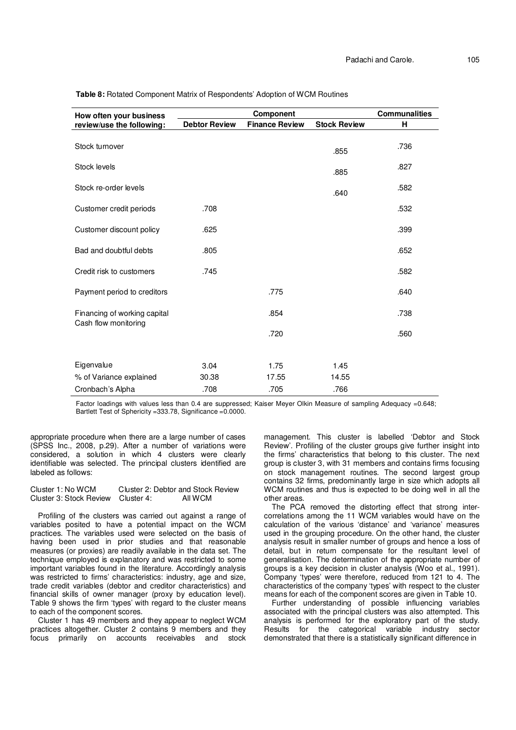| How often your business      |                      | <b>Component</b>      |                     | <b>Communalities</b> |
|------------------------------|----------------------|-----------------------|---------------------|----------------------|
| review/use the following:    | <b>Debtor Review</b> | <b>Finance Review</b> | <b>Stock Review</b> | н                    |
| Stock turnover               |                      |                       | .855                | .736                 |
| Stock levels                 |                      |                       | .885                | .827                 |
| Stock re-order levels        |                      |                       | .640                | .582                 |
| Customer credit periods      | .708                 |                       |                     | .532                 |
| Customer discount policy     | .625                 |                       |                     | .399                 |
| Bad and doubtful debts       | .805                 |                       |                     | .652                 |
| Credit risk to customers     | .745                 |                       |                     | .582                 |
| Payment period to creditors  |                      | .775                  |                     | .640                 |
| Financing of working capital |                      | .854                  |                     | .738                 |
| Cash flow monitoring         |                      | .720                  |                     | .560                 |
|                              |                      |                       |                     |                      |
| Eigenvalue                   | 3.04                 | 1.75                  | 1.45                |                      |
| % of Variance explained      | 30.38                | 17.55                 | 14.55               |                      |
| Cronbach's Alpha             | .708                 | .705                  | .766                |                      |

**Table 8:** Rotated Component Matrix of Respondents' Adoption of WCM Routines

Factor loadings with values less than 0.4 are suppressed; Kaiser Meyer Olkin Measure of sampling Adequacy =0.648; Bartlett Test of Sphericity =333.78, Significance =0.0000.

appropriate procedure when there are a large number of cases (SPSS Inc., 2008, p.29). After a number of variations were considered, a solution in which 4 clusters were clearly identifiable was selected. The principal clusters identified are labeled as follows:

Cluster 1: No WCM Cluster 2: Debtor and Stock Review<br>Cluster 3: Stock Review Cluster 4: All WCM Cluster 3: Stock Review Cluster 4:

Profiling of the clusters was carried out against a range of variables posited to have a potential impact on the WCM practices. The variables used were selected on the basis of having been used in prior studies and that reasonable measures (or proxies) are readily available in the data set. The technique employed is explanatory and was restricted to some important variables found in the literature. Accordingly analysis was restricted to firms' characteristics: industry, age and size, trade credit variables (debtor and creditor characteristics) and financial skills of owner manager (proxy by education level). Table 9 shows the firm 'types' with regard to the cluster means to each of the component scores.

Cluster 1 has 49 members and they appear to neglect WCM practices altogether. Cluster 2 contains 9 members and they focus primarily on accounts receivables and stock

management. This cluster is labelled 'Debtor and Stock Review'. Profiling of the cluster groups give further insight into the firms' characteristics that belong to this cluster. The next group is cluster 3, with 31 members and contains firms focusing on stock management routines. The second largest group contains 32 firms, predominantly large in size which adopts all WCM routines and thus is expected to be doing well in all the other areas.

The PCA removed the distorting effect that strong intercorrelations among the 11 WCM variables would have on the calculation of the various 'distance' and 'variance' measures used in the grouping procedure. On the other hand, the cluster analysis result in smaller number of groups and hence a loss of detail, but in return compensate for the resultant level of generalisation. The determination of the appropriate number of groups is a key decision in cluster analysis (Woo et al., 1991). Company 'types' were therefore, reduced from 121 to 4. The characteristics of the company 'types' with respect to the cluster means for each of the component scores are given in Table 10.

Further understanding of possible influencing variables associated with the principal clusters was also attempted. This analysis is performed for the exploratory part of the study. Results for the categorical variable industry sector demonstrated that there is a statistically significant difference in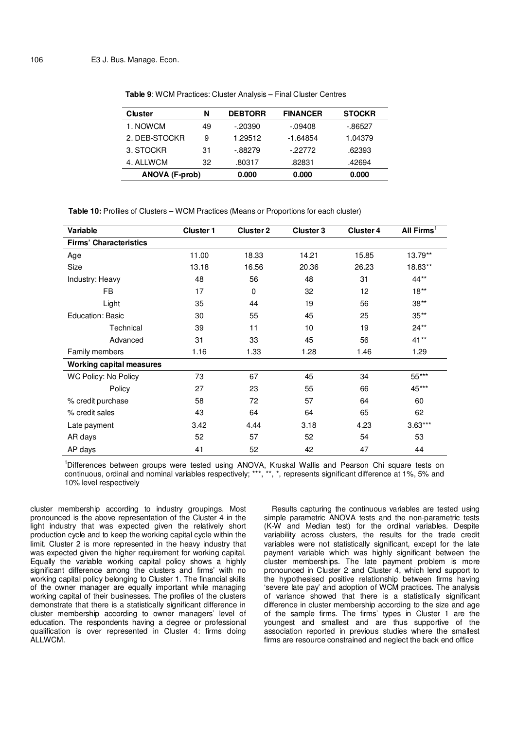| <b>Cluster</b>        | N  | <b>DEBTORR</b> | <b>FINANCER</b> | <b>STOCKR</b> |
|-----------------------|----|----------------|-----------------|---------------|
| 1. NOWCM              | 49 | $-20390$       | $-0.9408$       | -.86527       |
| 2. DEB-STOCKR         | 9  | 1.29512        | -1.64854        | 1.04379       |
| 3. STOCKR             | 31 | -.88279        | $-22772$        | .62393        |
| 4. ALLWCM             | 32 | .80317         | .82831          | .42694        |
| <b>ANOVA (F-prob)</b> |    | 0.000          | 0.000           | 0.000         |

**Table 9**: WCM Practices: Cluster Analysis – Final Cluster Centres

**Table 10:** Profiles of Clusters – WCM Practices (Means or Proportions for each cluster)

| Variable                        | <b>Cluster 1</b> | <b>Cluster 2</b> | <b>Cluster 3</b> | <b>Cluster 4</b> | All Firms <sup>1</sup> |
|---------------------------------|------------------|------------------|------------------|------------------|------------------------|
| <b>Firms' Characteristics</b>   |                  |                  |                  |                  |                        |
| Age                             | 11.00            | 18.33            | 14.21            | 15.85            | 13.79**                |
| Size                            | 13.18            | 16.56            | 20.36            | 26.23            | 18.83**                |
| Industry: Heavy                 | 48               | 56               | 48               | 31               | 44**                   |
| FB                              | 17               | $\mathbf 0$      | 32               | 12               | $18**$                 |
| Light                           | 35               | 44               | 19               | 56               | $38**$                 |
| Education: Basic                | 30               | 55               | 45               | 25               | $35**$                 |
| Technical                       | 39               | 11               | 10               | 19               | $24**$                 |
| Advanced                        | 31               | 33               | 45               | 56               | $41**$                 |
| Family members                  | 1.16             | 1.33             | 1.28             | 1.46             | 1.29                   |
| <b>Working capital measures</b> |                  |                  |                  |                  |                        |
| WC Policy: No Policy            | 73               | 67               | 45               | 34               | 55***                  |
| Policy                          | 27               | 23               | 55               | 66               | 45***                  |
| % credit purchase               | 58               | 72               | 57               | 64               | 60                     |
| % credit sales                  | 43               | 64               | 64               | 65               | 62                     |
| Late payment                    | 3.42             | 4.44             | 3.18             | 4.23             | $3.63***$              |
| AR days                         | 52               | 57               | 52               | 54               | 53                     |
| AP days                         | 41               | 52               | 42               | 47               | 44                     |

<sup>1</sup>Differences between groups were tested using ANOVA, Kruskal Wallis and Pearson Chi square tests on continuous, ordinal and nominal variables respectively; \*\*\*, \*\*, \*, represents significant difference at 1%, 5% and 10% level respectively

cluster membership according to industry groupings. Most pronounced is the above representation of the Cluster 4 in the light industry that was expected given the relatively short production cycle and to keep the working capital cycle within the limit. Cluster 2 is more represented in the heavy industry that was expected given the higher requirement for working capital. Equally the variable working capital policy shows a highly significant difference among the clusters and firms' with no working capital policy belonging to Cluster 1. The financial skills of the owner manager are equally important while managing working capital of their businesses. The profiles of the clusters demonstrate that there is a statistically significant difference in cluster membership according to owner managers' level of education. The respondents having a degree or professional qualification is over represented in Cluster 4: firms doing ALLWCM.

Results capturing the continuous variables are tested using simple parametric ANOVA tests and the non-parametric tests (K-W and Median test) for the ordinal variables. Despite variability across clusters, the results for the trade credit variables were not statistically significant, except for the late payment variable which was highly significant between the cluster memberships. The late payment problem is more pronounced in Cluster 2 and Cluster 4, which lend support to the hypothesised positive relationship between firms having 'severe late pay' and adoption of WCM practices. The analysis of variance showed that there is a statistically significant difference in cluster membership according to the size and age of the sample firms. The firms' types in Cluster 1 are the youngest and smallest and are thus supportive of the association reported in previous studies where the smallest firms are resource constrained and neglect the back end office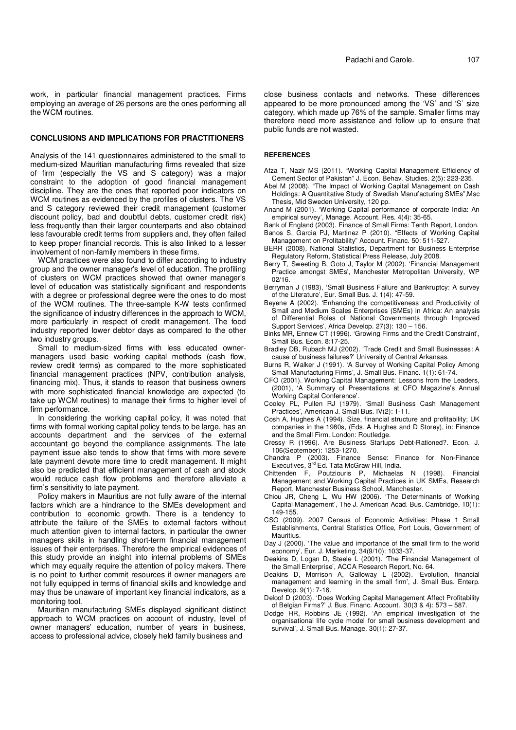work, in particular financial management practices. Firms employing an average of 26 persons are the ones performing all the WCM routines.

### **CONCLUSIONS AND IMPLICATIONS FOR PRACTITIONERS**

Analysis of the 141 questionnaires administered to the small to medium-sized Mauritian manufacturing firms revealed that size of firm (especially the VS and S category) was a major constraint to the adoption of good financial management discipline. They are the ones that reported poor indicators on WCM routines as evidenced by the profiles of clusters. The VS and S category reviewed their credit management (customer discount policy, bad and doubtful debts, customer credit risk) less frequently than their larger counterparts and also obtained less favourable credit terms from suppliers and, they often failed to keep proper financial records. This is also linked to a lesser involvement of non-family members in these firms.

WCM practices were also found to differ according to industry group and the owner manager's level of education. The profiling of clusters on WCM practices showed that owner manager's level of education was statistically significant and respondents with a degree or professional degree were the ones to do most of the WCM routines. The three-sample K-W tests confirmed the significance of industry differences in the approach to WCM, more particularly in respect of credit management. The food industry reported lower debtor days as compared to the other two industry groups.

Small to medium-sized firms with less educated ownermanagers used basic working capital methods (cash flow, review credit terms) as compared to the more sophisticated financial management practices (NPV, contribution analysis, financing mix). Thus, it stands to reason that business owners with more sophisticated financial knowledge are expected (to take up WCM routines) to manage their firms to higher level of firm performance.

In considering the working capital policy, it was noted that firms with formal working capital policy tends to be large, has an accounts department and the services of the external accountant go beyond the compliance assignments. The late payment issue also tends to show that firms with more severe late payment devote more time to credit management. It might also be predicted that efficient management of cash and stock would reduce cash flow problems and therefore alleviate a firm's sensitivity to late payment.

Policy makers in Mauritius are not fully aware of the internal factors which are a hindrance to the SMEs development and contribution to economic growth. There is a tendency to attribute the failure of the SMEs to external factors without much attention given to internal factors, in particular the owner managers skills in handling short-term financial management issues of their enterprises. Therefore the empirical evidences of this study provide an insight into internal problems of SMEs which may equally require the attention of policy makers. There is no point to further commit resources if owner managers are not fully equipped in terms of financial skills and knowledge and may thus be unaware of important key financial indicators, as a monitoring tool.

Mauritian manufacturing SMEs displayed significant distinct approach to WCM practices on account of industry, level of owner managers' education, number of years in business, access to professional advice, closely held family business and

close business contacts and networks. These differences appeared to be more pronounced among the 'VS' and 'S' size category, which made up 76% of the sample. Smaller firms may therefore need more assistance and follow up to ensure that public funds are not wasted.

#### **REFERENCES**

Afza T, Nazir MS (2011). "Working Capital Management Efficiency of Cement Sector of Pakistan" J. Econ. Behav. Studies. 2(5): 223-235.

- Abel M (2008). "The Impact of Working Capital Management on Cash Holdings: A Quantitative Study of Swedish Manufacturing SMEs",Msc Thesis, Mid Sweden University, 120 pp.
- Anand M (2001). 'Working Capital performance of corporate India: An empirical survey', Manage. Account. Res. 4(4): 35-65.
- Bank of England (2003). Finance of Small Firms: Tenth Report, London. Banos S, Garcia PJ, Martinez P (2010). "Effects of Working Capital
- Management on Profitability" Account. Financ. 50: 511-527. BERR (2008), National Statistics, Department for Business Enterprise Regulatory Reform, Statistical Press Release, July 2008.
- Berry T, Sweeting B, Goto J, Taylor M (2002). 'Financial Management Practice amongst SMEs', Manchester Metropolitan University, WP 02/16.
- Berryman J (1983), 'Small Business Failure and Bankruptcy: A survey of the Literature', Eur. Small Bus. J. 1(4): 47-59.
- Beyene A (2002). 'Enhancing the competitiveness and Productivity of Small and Medium Scales Enterprises (SMEs) in Africa: An analysis of Differential Roles of National Governments through Improved Support Services', Africa Develop. 27(3): 130 – 156.
- Binks MR, Ennew CT (1996). 'Growing Firms and the Credit Constraint', Small Bus. Econ. 8:17-25.
- Bradley DB, Rubach MJ (2002). 'Trade Credit and Small Businesses: A cause of business failures?' University of Central Arkansas.
- Burns R, Walker J (1991). 'A Survey of Working Capital Policy Among Small Manufacturing Firms', J. Small Bus. Financ. 1(1): 61-74.
- CFO (2001). Working Capital Management: Lessons from the Leaders, (2001), 'A Summary of Presentations at CFO Magazine's Annual Working Capital Conference'.
- Cooley PL, Pullen RJ (1979). 'Small Business Cash Management Practices', American J. Small Bus. IV(2): 1-11.
- Cosh A, Hughes A (1994). Size, financial structure and profitability; UK companies in the 1980s, (Eds. A Hughes and D Storey), in: Finance and the Small Firm. London: Routledge.
- Cressy R (1996). Are Business Startups Debt-Rationed?. Econ. J. 106(September): 1253-1270.
- Chandra P (2003). Finance Sense: Finance for Non-Finance Executives, 3<sup>rd</sup> Ed. Tata McGraw Hill, India.
- Chittenden F, Poutziouris P, Michaelas N (1998). Financial Management and Working Capital Practices in UK SMEs, Research Report, Manchester Business School, Manchester.
- Chiou JR, Cheng L, Wu HW (2006). 'The Determinants of Working Capital Management', The J. American Acad. Bus. Cambridge, 10(1): 149-155.
- CSO (2009). 2007 Census of Economic Activities: Phase 1 Small Establishments, Central Statistics Office, Port Louis, Government of Mauritius.
- Day J (2000). 'The value and importance of the small firm to the world economy', Eur. J. Marketing, 34(9/10): 1033-37.
- Deakins D, Logan D, Steele L (2001). 'The Financial Management of the Small Enterprise', ACCA Research Report, No. 64.
- Deakins D, Morrison A, Galloway L (2002). 'Evolution, financial management and learning in the small firm', J. Small Bus. Enterp. Develop. 9(1): 7-16.
- Deloof D (2003). 'Does Working Capital Management Affect Profitability of Belgian Firms?' J. Bus. Financ. Account. 30(3 & 4): 573 – 587.
- Dodge HR, Robbins JE (1992). 'An empirical investigation of the organisational life cycle model for small business development and survival', J. Small Bus. Manage. 30(1): 27-37.